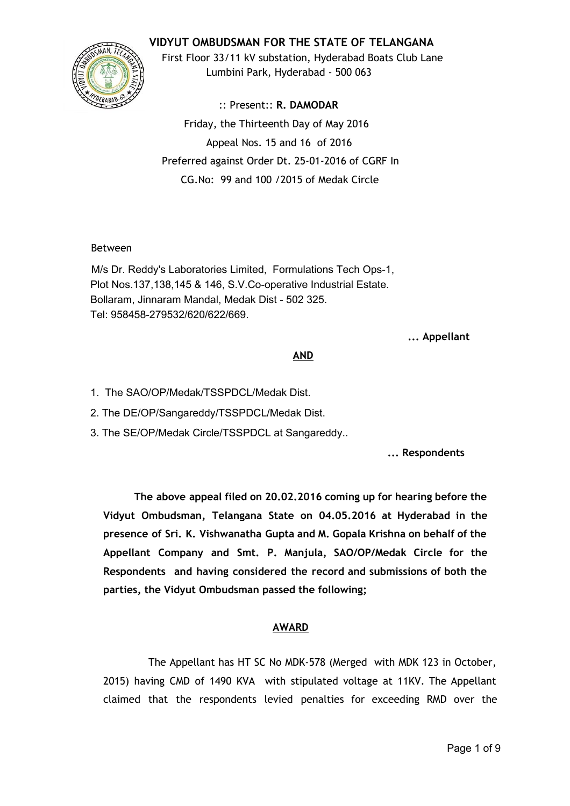# **VIDYUT OMBUDSMAN FOR THE STATE OF TELANGANA**



First Floor 33/11 kV substation, Hyderabad Boats Club Lane Lumbini Park, Hyderabad ‐ 500 063

:: Present:: **R. DAMODAR** Friday, the Thirteenth Day of May 2016 Appeal Nos. 15 and 16 of 2016 Preferred against Order Dt. 25‐01‐2016 of CGRF In CG.No: 99 and 100 /2015 of Medak Circle

## Between

M/s Dr. Reddy's Laboratories Limited, Formulations Tech Ops-1, Plot Nos.137,138,145 & 146, S.V.Co-operative Industrial Estate. Bollaram, Jinnaram Mandal, Medak Dist - 502 325. Tel: 958458279532/620/622/669.

**... Appellant**

## **AND**

1. The SAO/OP/Medak/TSSPDCL/Medak Dist.

2. The DE/OP/Sangareddy/TSSPDCL/Medak Dist.

3. The SE/OP/Medak Circle/TSSPDCL at Sangareddy..

**... Respondents**

**The above appeal filed on 20.02.2016 coming up for hearing before the Vidyut Ombudsman, Telangana State on 04.05.2016 at Hyderabad in the presence of Sri. K. Vishwanatha Gupta and M. Gopala Krishna on behalf of the Appellant Company and Smt. P. Manjula, SAO/OP/Medak Circle for the Respondents and having considered the record and submissions of both the parties, the Vidyut Ombudsman passed the following;**

# **AWARD**

The Appellant has HT SC No MDK‐578 (Merged with MDK 123 in October, 2015) having CMD of 1490 KVA with stipulated voltage at 11KV. The Appellant claimed that the respondents levied penalties for exceeding RMD over the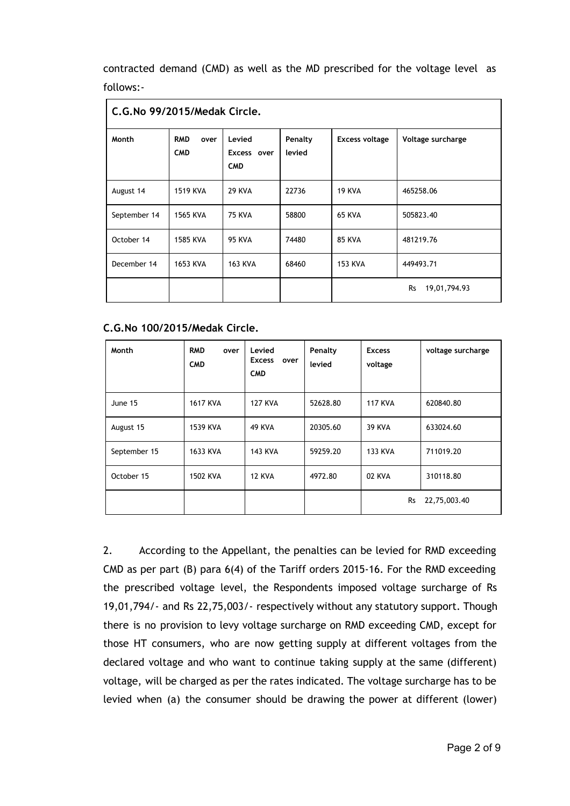contracted demand (CMD) as well as the MD prescribed for the voltage level as follows:‐

| C.G.No 99/2015/Medak Circle. |                                  |                                     |                   |                       |                           |  |
|------------------------------|----------------------------------|-------------------------------------|-------------------|-----------------------|---------------------------|--|
| Month                        | <b>RMD</b><br>over<br><b>CMD</b> | Levied<br>Excess over<br><b>CMD</b> | Penalty<br>levied | <b>Excess voltage</b> | Voltage surcharge         |  |
| August 14                    | <b>1519 KVA</b>                  | <b>29 KVA</b>                       | 22736             | <b>19 KVA</b>         | 465258.06                 |  |
| September 14                 | 1565 KVA                         | <b>75 KVA</b>                       | 58800             | <b>65 KVA</b>         | 505823.40                 |  |
| October 14                   | <b>1585 KVA</b>                  | <b>95 KVA</b>                       | 74480             | <b>85 KVA</b>         | 481219.76                 |  |
| December 14                  | 1653 KVA                         | <b>163 KVA</b>                      | 68460             | <b>153 KVA</b>        | 449493.71                 |  |
|                              |                                  |                                     |                   |                       | <b>Rs</b><br>19,01,794.93 |  |

#### **C.G.No 100/2015/Medak Circle.**

| Month        | <b>RMD</b><br>over<br><b>CMD</b> | Levied<br><b>Excess</b><br>over<br><b>CMD</b> | Penalty<br>levied | <b>Excess</b><br>voltage | voltage surcharge |
|--------------|----------------------------------|-----------------------------------------------|-------------------|--------------------------|-------------------|
| June 15      | <b>1617 KVA</b>                  | <b>127 KVA</b>                                | 52628.80          | <b>117 KVA</b>           | 620840.80         |
| August 15    | 1539 KVA                         | 49 KVA                                        | 20305.60          | <b>39 KVA</b>            | 633024.60         |
| September 15 | 1633 KVA                         | <b>143 KVA</b>                                | 59259.20          | <b>133 KVA</b>           | 711019.20         |
| October 15   | 1502 KVA                         | <b>12 KVA</b>                                 | 4972.80           | 02 KVA                   | 310118.80         |
|              |                                  |                                               |                   | <b>Rs</b>                | 22,75,003.40      |

2. According to the Appellant, the penalties can be levied for RMD exceeding CMD as per part (B) para 6(4) of the Tariff orders 2015‐16. For the RMD exceeding the prescribed voltage level, the Respondents imposed voltage surcharge of Rs 19,01,794/‐ and Rs 22,75,003/‐ respectively without any statutory support. Though there is no provision to levy voltage surcharge on RMD exceeding CMD, except for those HT consumers, who are now getting supply at different voltages from the declared voltage and who want to continue taking supply at the same (different) voltage, will be charged as per the rates indicated. The voltage surcharge has to be levied when (a) the consumer should be drawing the power at different (lower)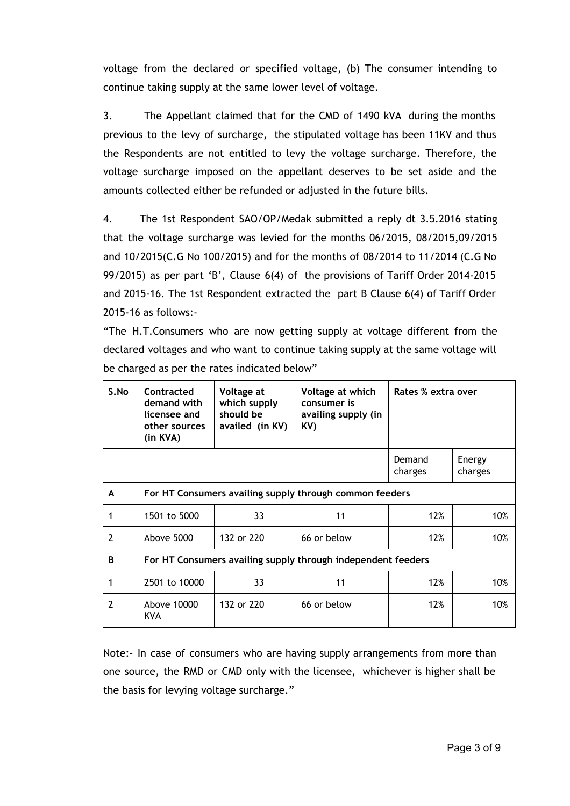voltage from the declared or specified voltage, (b) The consumer intending to continue taking supply at the same lower level of voltage.

3. The Appellant claimed that for the CMD of 1490 kVA during the months previous to the levy of surcharge, the stipulated voltage has been 11KV and thus the Respondents are not entitled to levy the voltage surcharge. Therefore, the voltage surcharge imposed on the appellant deserves to be set aside and the amounts collected either be refunded or adjusted in the future bills.

4. The 1st Respondent SAO/OP/Medak submitted a reply dt 3.5.2016 stating that the voltage surcharge was levied for the months 06/2015, 08/2015,09/2015 and 10/2015(C.G No 100/2015) and for the months of 08/2014 to 11/2014 (C.G No 99/2015) as per part 'B', Clause 6(4) of the provisions of Tariff Order 2014‐2015 and 2015-16. The 1st Respondent extracted the part B Clause 6(4) of Tariff Order 2015‐16 as follows:‐

"The H.T.Consumers who are now getting supply at voltage different from the declared voltages and who want to continue taking supply at the same voltage will be charged as per the rates indicated below"

| S.No          | Contracted<br>demand with<br>licensee and<br>other sources<br>(in KVA) | Voltage at<br>which supply<br>should be<br>availed (in KV) | Voltage at which<br>consumer is<br>availing supply (in<br>KV) | Rates % extra over |                   |  |  |
|---------------|------------------------------------------------------------------------|------------------------------------------------------------|---------------------------------------------------------------|--------------------|-------------------|--|--|
|               |                                                                        |                                                            |                                                               | Demand<br>charges  | Energy<br>charges |  |  |
| A             | For HT Consumers availing supply through common feeders                |                                                            |                                                               |                    |                   |  |  |
|               | 1501 to 5000                                                           | 33                                                         | 11                                                            | 12%                | 10%               |  |  |
| $\mathcal{P}$ | Above 5000                                                             | 132 or 220                                                 | 66 or below                                                   | 12%                | 10%               |  |  |
| B             | For HT Consumers availing supply through independent feeders           |                                                            |                                                               |                    |                   |  |  |
|               | 2501 to 10000                                                          | 33                                                         | 11                                                            | 12%                | 10%               |  |  |
| $\mathcal{P}$ | Above 10000<br><b>KVA</b>                                              | 132 or 220                                                 | 66 or below                                                   | 12%                | 10%               |  |  |

Note: In case of consumers who are having supply arrangements from more than one source, the RMD or CMD only with the licensee, whichever is higher shall be the basis for levying voltage surcharge."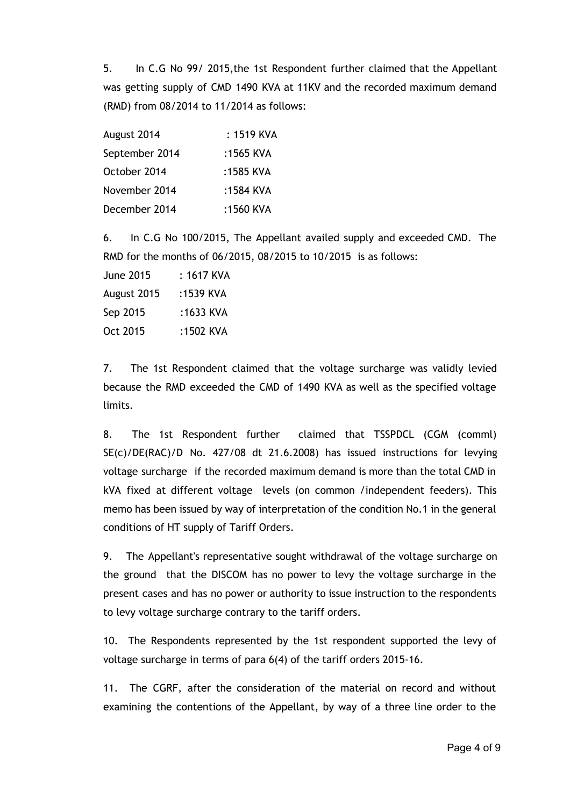5. In C.G No 99/ 2015,the 1st Respondent further claimed that the Appellant was getting supply of CMD 1490 KVA at 11KV and the recorded maximum demand (RMD) from 08/2014 to 11/2014 as follows:

| August 2014    | : 1519 KVA |
|----------------|------------|
| September 2014 | :1565 KVA  |
| October 2014   | :1585 KVA  |
| November 2014  | :1584 KVA  |
| December 2014  | :1560 KVA  |

6. In C.G No 100/2015, The Appellant availed supply and exceeded CMD. The RMD for the months of 06/2015, 08/2015 to 10/2015 is as follows:

| <b>June 2015</b> | : 1617 KVA |
|------------------|------------|
| August 2015      | :1539 KVA  |
| Sep 2015         | :1633 KVA  |
| Oct 2015         | :1502 KVA  |

7. The 1st Respondent claimed that the voltage surcharge was validly levied because the RMD exceeded the CMD of 1490 KVA as well as the specified voltage limits.

8. The 1st Respondent further claimed that TSSPDCL (CGM (comml) SE(c)/DE(RAC)/D No. 427/08 dt 21.6.2008) has issued instructions for levying voltage surcharge if the recorded maximum demand is more than the total CMD in kVA fixed at different voltage levels (on common /independent feeders). This memo has been issued by way of interpretation of the condition No.1 in the general conditions of HT supply of Tariff Orders.

9. The Appellant's representative sought withdrawal of the voltage surcharge on the ground that the DISCOM has no power to levy the voltage surcharge in the present cases and has no power or authority to issue instruction to the respondents to levy voltage surcharge contrary to the tariff orders.

10. The Respondents represented by the 1st respondent supported the levy of voltage surcharge in terms of para 6(4) of the tariff orders 2015‐16.

11. The CGRF, after the consideration of the material on record and without examining the contentions of the Appellant, by way of a three line order to the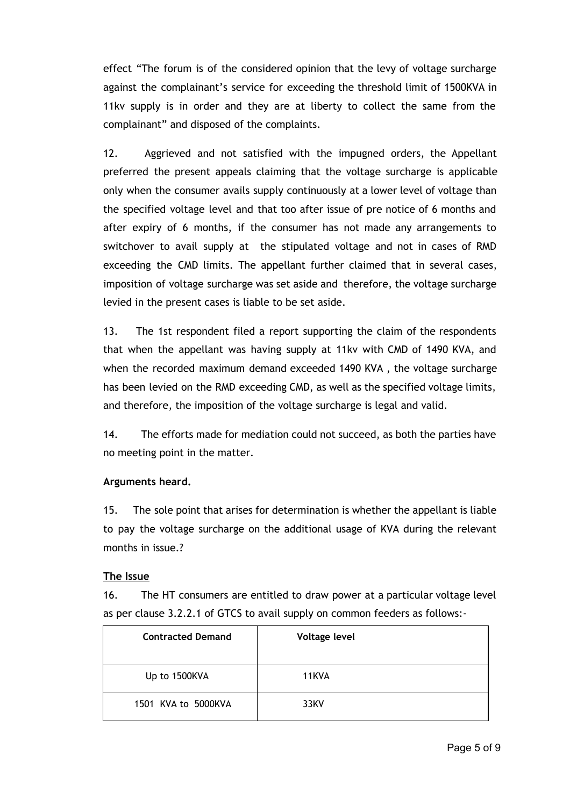effect "The forum is of the considered opinion that the levy of voltage surcharge against the complainant's service for exceeding the threshold limit of 1500KVA in 11kv supply is in order and they are at liberty to collect the same from the complainant" and disposed of the complaints.

12. Aggrieved and not satisfied with the impugned orders, the Appellant preferred the present appeals claiming that the voltage surcharge is applicable only when the consumer avails supply continuously at a lower level of voltage than the specified voltage level and that too after issue of pre notice of 6 months and after expiry of 6 months, if the consumer has not made any arrangements to switchover to avail supply at the stipulated voltage and not in cases of RMD exceeding the CMD limits. The appellant further claimed that in several cases, imposition of voltage surcharge was set aside and therefore, the voltage surcharge levied in the present cases is liable to be set aside.

13. The 1st respondent filed a report supporting the claim of the respondents that when the appellant was having supply at 11kv with CMD of 1490 KVA, and when the recorded maximum demand exceeded 1490 KVA , the voltage surcharge has been levied on the RMD exceeding CMD, as well as the specified voltage limits, and therefore, the imposition of the voltage surcharge is legal and valid.

14. The efforts made for mediation could not succeed, as both the parties have no meeting point in the matter.

## **Arguments heard.**

15. The sole point that arises for determination is whether the appellant is liable to pay the voltage surcharge on the additional usage of KVA during the relevant months in issue.?

## **The Issue**

16. The HT consumers are entitled to draw power at a particular voltage level as per clause 3.2.2.1 of GTCS to avail supply on common feeders as follows:‐

| <b>Contracted Demand</b> | <b>Voltage level</b> |
|--------------------------|----------------------|
| Up to 1500KVA            | 11KVA                |
| 1501 KVA to 5000KVA      | 33KV                 |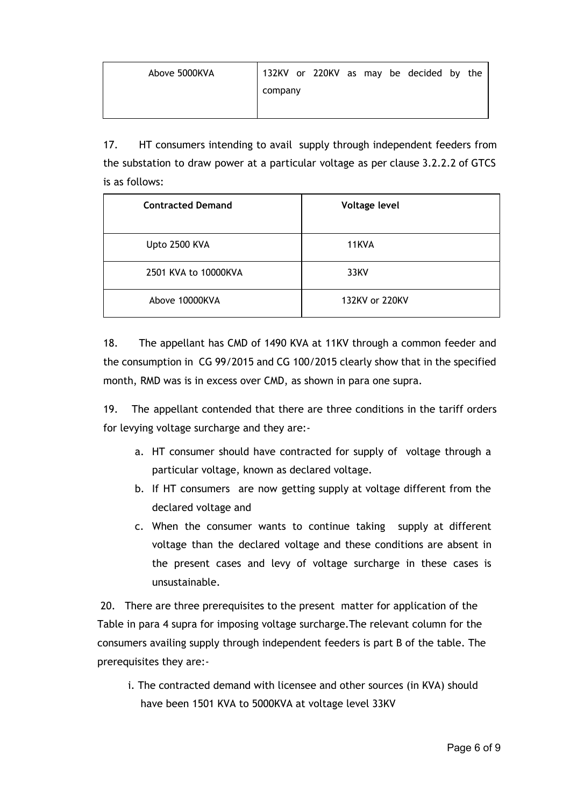| Above 5000KVA |         |  |  | 132KV or 220KV as may be decided by the |  |
|---------------|---------|--|--|-----------------------------------------|--|
|               | company |  |  |                                         |  |
|               |         |  |  |                                         |  |

17. HT consumers intending to avail supply through independent feeders from the substation to draw power at a particular voltage as per clause 3.2.2.2 of GTCS is as follows:

| <b>Contracted Demand</b> | Voltage level  |  |  |  |  |
|--------------------------|----------------|--|--|--|--|
| Upto 2500 KVA            | 11KVA          |  |  |  |  |
| 2501 KVA to 10000KVA     | 33KV           |  |  |  |  |
| Above 10000KVA           | 132KV or 220KV |  |  |  |  |

18. The appellant has CMD of 1490 KVA at 11KV through a common feeder and the consumption in CG 99/2015 and CG 100/2015 clearly show that in the specified month, RMD was is in excess over CMD, as shown in para one supra.

19. The appellant contended that there are three conditions in the tariff orders for levying voltage surcharge and they are:‐

- a. HT consumer should have contracted for supply of voltage through a particular voltage, known as declared voltage.
- b. If HT consumers are now getting supply at voltage different from the declared voltage and
- c. When the consumer wants to continue taking supply at different voltage than the declared voltage and these conditions are absent in the present cases and levy of voltage surcharge in these cases is unsustainable.

20. There are three prerequisites to the present matter for application of the Table in para 4 supra for imposing voltage surcharge.The relevant column for the consumers availing supply through independent feeders is part B of the table. The prerequisites they are:‐

i. The contracted demand with licensee and other sources (in KVA) should have been 1501 KVA to 5000KVA at voltage level 33KV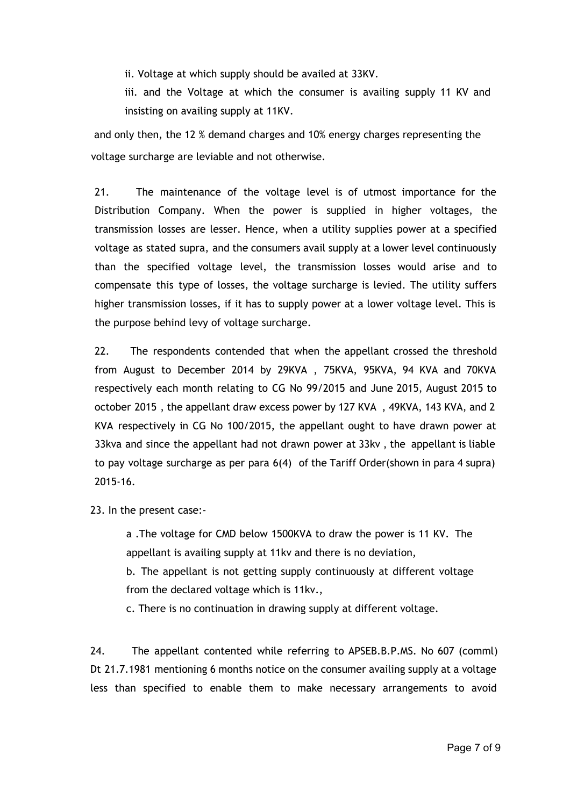ii. Voltage at which supply should be availed at 33KV.

iii. and the Voltage at which the consumer is availing supply 11 KV and insisting on availing supply at 11KV.

and only then, the 12 % demand charges and 10% energy charges representing the voltage surcharge are leviable and not otherwise.

21. The maintenance of the voltage level is of utmost importance for the Distribution Company. When the power is supplied in higher voltages, the transmission losses are lesser. Hence, when a utility supplies power at a specified voltage as stated supra, and the consumers avail supply at a lower level continuously than the specified voltage level, the transmission losses would arise and to compensate this type of losses, the voltage surcharge is levied. The utility suffers higher transmission losses, if it has to supply power at a lower voltage level. This is the purpose behind levy of voltage surcharge.

22. The respondents contended that when the appellant crossed the threshold from August to December 2014 by 29KVA , 75KVA, 95KVA, 94 KVA and 70KVA respectively each month relating to CG No 99/2015 and June 2015, August 2015 to october 2015 , the appellant draw excess power by 127 KVA , 49KVA, 143 KVA, and 2 KVA respectively in CG No 100/2015, the appellant ought to have drawn power at 33kva and since the appellant had not drawn power at 33kv , the appellant is liable to pay voltage surcharge as per para 6(4) of the Tariff Order(shown in para 4 supra) 2015‐16.

23. In the present case:‐

a .The voltage for CMD below 1500KVA to draw the power is 11 KV. The appellant is availing supply at 11kv and there is no deviation,

b. The appellant is not getting supply continuously at different voltage from the declared voltage which is 11kv.,

c. There is no continuation in drawing supply at different voltage.

24. The appellant contented while referring to APSEB.B.P.MS. No 607 (comml) Dt 21.7.1981 mentioning 6 months notice on the consumer availing supply at a voltage less than specified to enable them to make necessary arrangements to avoid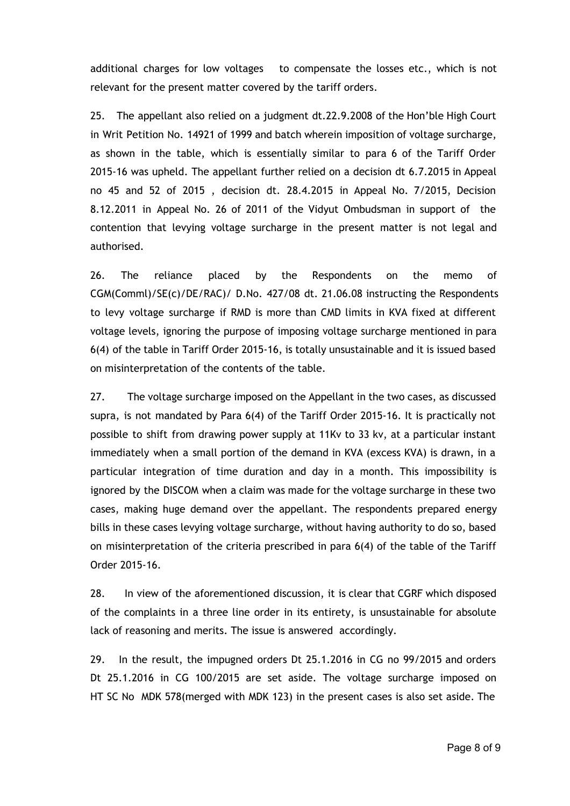additional charges for low voltages to compensate the losses etc., which is not relevant for the present matter covered by the tariff orders.

25. The appellant also relied on a judgment dt.22.9.2008 of the Hon'ble High Court in Writ Petition No. 14921 of 1999 and batch wherein imposition of voltage surcharge, as shown in the table, which is essentially similar to para 6 of the Tariff Order 2015‐16 was upheld. The appellant further relied on a decision dt 6.7.2015 in Appeal no 45 and 52 of 2015 , decision dt. 28.4.2015 in Appeal No. 7/2015, Decision 8.12.2011 in Appeal No. 26 of 2011 of the Vidyut Ombudsman in support of the contention that levying voltage surcharge in the present matter is not legal and authorised.

26. The reliance placed by the Respondents on the memo of CGM(Comml)/SE(c)/DE/RAC)/ D.No. 427/08 dt. 21.06.08 instructing the Respondents to levy voltage surcharge if RMD is more than CMD limits in KVA fixed at different voltage levels, ignoring the purpose of imposing voltage surcharge mentioned in para 6(4) of the table in Tariff Order 2015‐16, is totally unsustainable and it is issued based on misinterpretation of the contents of the table.

27. The voltage surcharge imposed on the Appellant in the two cases, as discussed supra, is not mandated by Para 6(4) of the Tariff Order 2015-16. It is practically not possible to shift from drawing power supply at 11Kv to 33 kv, at a particular instant immediately when a small portion of the demand in KVA (excess KVA) is drawn, in a particular integration of time duration and day in a month. This impossibility is ignored by the DISCOM when a claim was made for the voltage surcharge in these two cases, making huge demand over the appellant. The respondents prepared energy bills in these cases levying voltage surcharge, without having authority to do so, based on misinterpretation of the criteria prescribed in para 6(4) of the table of the Tariff Order 2015‐16.

28. In view of the aforementioned discussion, it is clear that CGRF which disposed of the complaints in a three line order in its entirety, is unsustainable for absolute lack of reasoning and merits. The issue is answered accordingly.

29. In the result, the impugned orders Dt 25.1.2016 in CG no 99/2015 and orders Dt 25.1.2016 in CG 100/2015 are set aside. The voltage surcharge imposed on HT SC No MDK 578(merged with MDK 123) in the present cases is also set aside. The